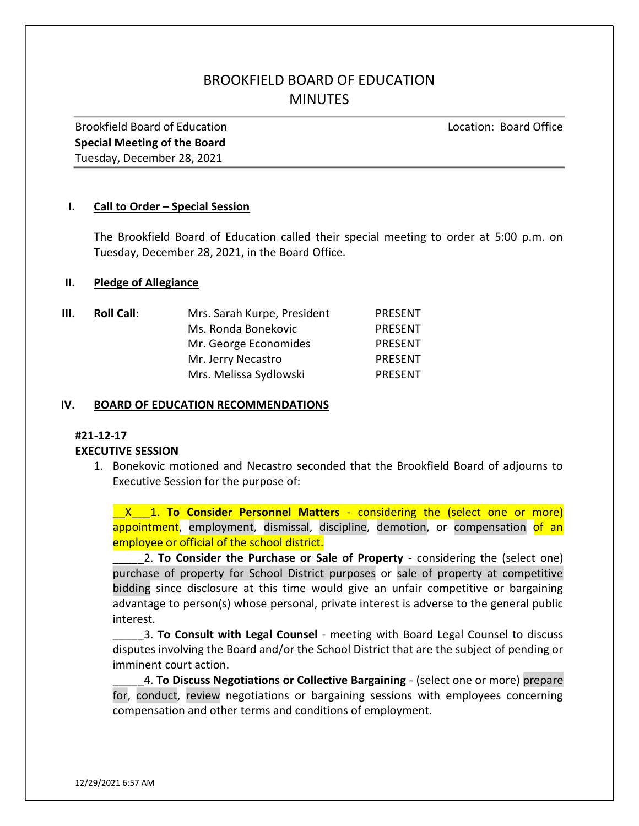# BROOKFIELD BOARD OF EDUCATION **MINUTES**

Brookfield Board of Education Location: Board Office Special Meeting of the Board Tuesday, December 28, 2021

## I. Call to Order – Special Session

The Brookfield Board of Education called their special meeting to order at 5:00 p.m. on Tuesday, December 28, 2021, in the Board Office.

#### II. Pledge of Allegiance

| III. | <b>Roll Call:</b> | Mrs. Sarah Kurpe, President | <b>PRESENT</b> |
|------|-------------------|-----------------------------|----------------|
|      |                   | Ms. Ronda Bonekovic         | <b>PRESENT</b> |
|      |                   | Mr. George Economides       | <b>PRESENT</b> |
|      |                   | Mr. Jerry Necastro          | <b>PRESENT</b> |
|      |                   | Mrs. Melissa Sydlowski      | <b>PRESENT</b> |

### IV. BOARD OF EDUCATION RECOMMENDATIONS

## #21-12-17

## EXECUTIVE SESSION

1. Bonekovic motioned and Necastro seconded that the Brookfield Board of adjourns to Executive Session for the purpose of:

**X\_\_1. To Consider Personnel Matters** - considering the (select one or more) appointment, employment, dismissal, discipline, demotion, or compensation of an employee or official of the school district.

2. To Consider the Purchase or Sale of Property - considering the (select one) purchase of property for School District purposes or sale of property at competitive bidding since disclosure at this time would give an unfair competitive or bargaining advantage to person(s) whose personal, private interest is adverse to the general public interest.

3. To Consult with Legal Counsel - meeting with Board Legal Counsel to discuss disputes involving the Board and/or the School District that are the subject of pending or imminent court action.

4. To Discuss Negotiations or Collective Bargaining - (select one or more) prepare for, conduct, review negotiations or bargaining sessions with employees concerning compensation and other terms and conditions of employment.